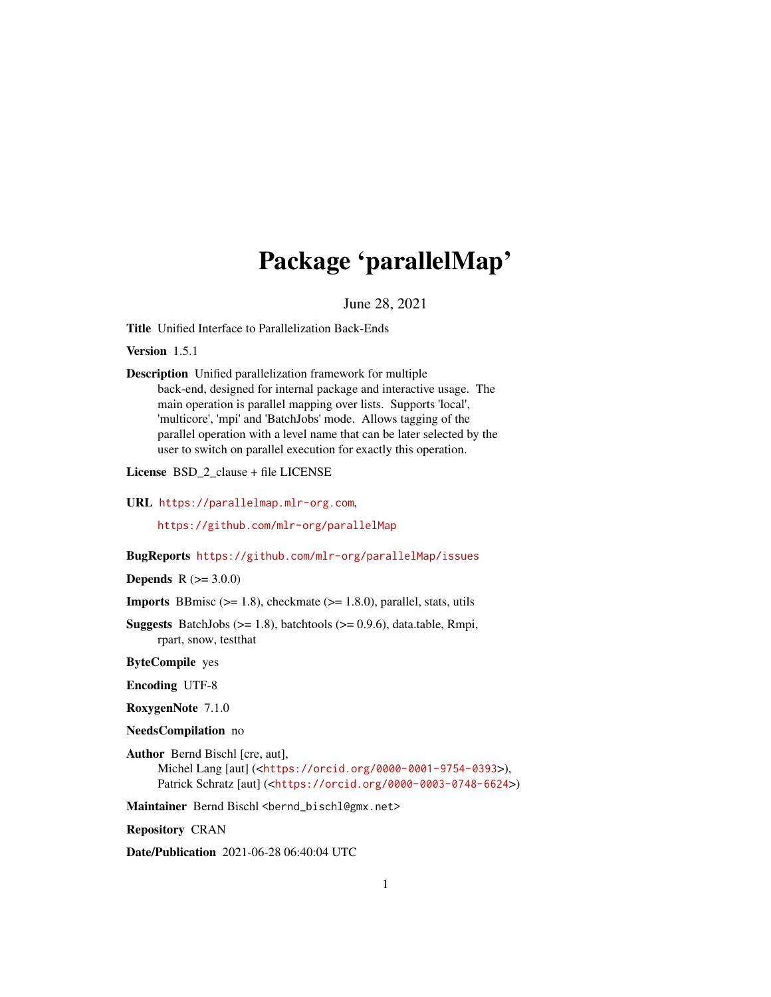# Package 'parallelMap'

June 28, 2021

<span id="page-0-0"></span>Title Unified Interface to Parallelization Back-Ends

Version 1.5.1

Description Unified parallelization framework for multiple back-end, designed for internal package and interactive usage. The main operation is parallel mapping over lists. Supports 'local', 'multicore', 'mpi' and 'BatchJobs' mode. Allows tagging of the parallel operation with a level name that can be later selected by the user to switch on parallel execution for exactly this operation.

License BSD\_2\_clause + file LICENSE

URL <https://parallelmap.mlr-org.com>,

<https://github.com/mlr-org/parallelMap>

BugReports <https://github.com/mlr-org/parallelMap/issues>

**Depends** R  $(>= 3.0.0)$ 

**Imports** BBmisc  $(>= 1.8)$ , checkmate  $(>= 1.8.0)$ , parallel, stats, utils

**Suggests** BatchJobs ( $>= 1.8$ ), batchtools ( $>= 0.9.6$ ), data.table, Rmpi, rpart, snow, testthat

ByteCompile yes

Encoding UTF-8

RoxygenNote 7.1.0

NeedsCompilation no

Author Bernd Bischl [cre, aut], Michel Lang [aut] (<<https://orcid.org/0000-0001-9754-0393>>), Patrick Schratz [aut] (<<https://orcid.org/0000-0003-0748-6624>>)

Maintainer Bernd Bischl <br/>bernd\_bischl@gmx.net>

Repository CRAN

Date/Publication 2021-06-28 06:40:04 UTC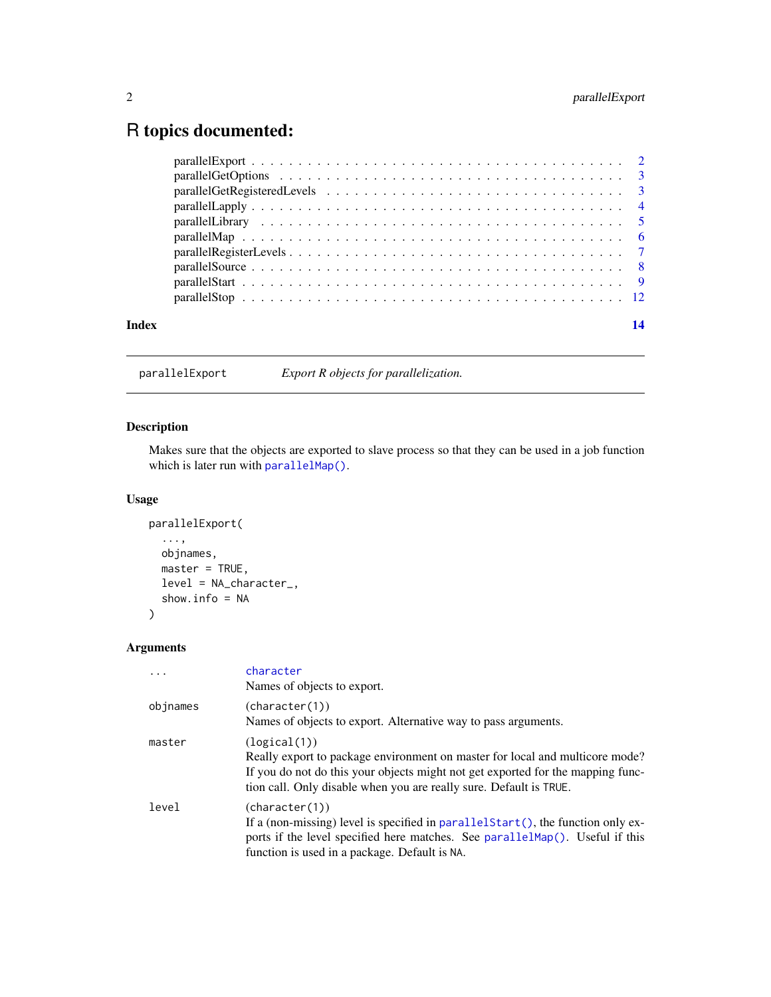## <span id="page-1-0"></span>R topics documented:

| Index |                                                                                                           |  |
|-------|-----------------------------------------------------------------------------------------------------------|--|
|       |                                                                                                           |  |
|       |                                                                                                           |  |
|       |                                                                                                           |  |
|       |                                                                                                           |  |
|       |                                                                                                           |  |
|       |                                                                                                           |  |
|       |                                                                                                           |  |
|       |                                                                                                           |  |
|       | parallel GetOptions $\ldots \ldots \ldots \ldots \ldots \ldots \ldots \ldots \ldots \ldots \ldots \ldots$ |  |
|       |                                                                                                           |  |

<span id="page-1-1"></span>parallelExport *Export R objects for parallelization.*

#### Description

Makes sure that the objects are exported to slave process so that they can be used in a job function which is later run with [parallelMap\(\)](#page-5-1).

#### Usage

```
parallelExport(
  ...,
 objnames,
 master = TRUE,
 level = NA_character_,
  show.info = NA
)
```

|          | character<br>Names of objects to export.                                                                                                                                                                                                              |
|----------|-------------------------------------------------------------------------------------------------------------------------------------------------------------------------------------------------------------------------------------------------------|
| objnames | (character(1))<br>Names of objects to export. Alternative way to pass arguments.                                                                                                                                                                      |
| master   | (logical(1))<br>Really export to package environment on master for local and multicore mode?<br>If you do not do this your objects might not get exported for the mapping func-<br>tion call. Only disable when you are really sure. Default is TRUE. |
| level    | (character(1))<br>If a (non-missing) level is specified in parallel Start (), the function only ex-<br>ports if the level specified here matches. See parallelMap(). Useful if this<br>function is used in a package. Default is NA.                  |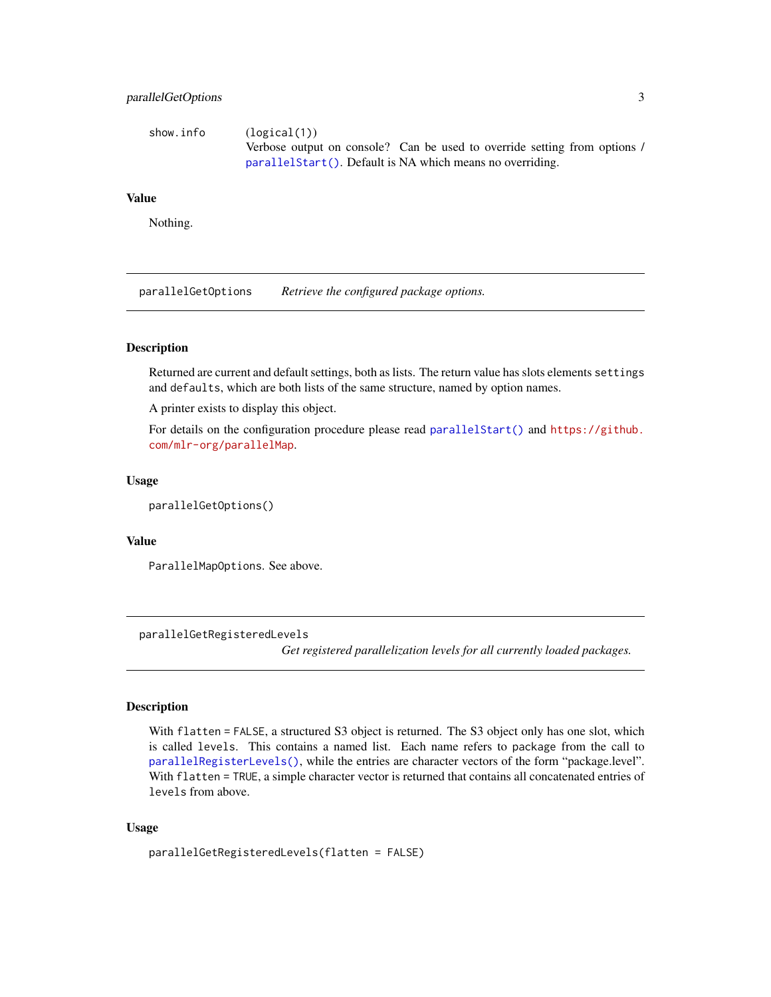#### <span id="page-2-0"></span>parallelGetOptions 3

| show.info | (logical(1))                                                              |
|-----------|---------------------------------------------------------------------------|
|           | Verbose output on console? Can be used to override setting from options / |
|           | parallel Start(). Default is NA which means no overriding.                |

#### Value

Nothing.

parallelGetOptions *Retrieve the configured package options.*

#### Description

Returned are current and default settings, both as lists. The return value has slots elements settings and defaults, which are both lists of the same structure, named by option names.

A printer exists to display this object.

For details on the configuration procedure please read [parallelStart\(\)](#page-8-1) and [https://github.](https://github.com/mlr-org/parallelMap) [com/mlr-org/parallelMap](https://github.com/mlr-org/parallelMap).

#### Usage

parallelGetOptions()

#### Value

ParallelMapOptions. See above.

parallelGetRegisteredLevels

*Get registered parallelization levels for all currently loaded packages.*

#### Description

With flatten = FALSE, a structured S3 object is returned. The S3 object only has one slot, which is called levels. This contains a named list. Each name refers to package from the call to [parallelRegisterLevels\(\)](#page-6-1), while the entries are character vectors of the form "package.level". With flatten = TRUE, a simple character vector is returned that contains all concatenated entries of levels from above.

#### Usage

parallelGetRegisteredLevels(flatten = FALSE)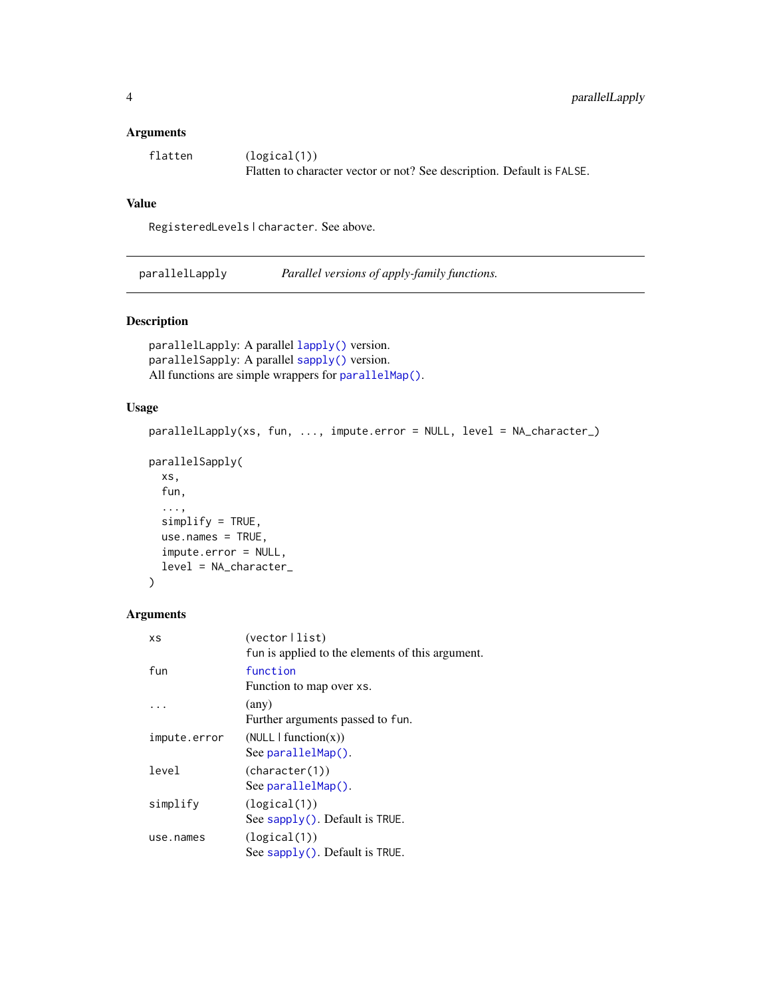#### <span id="page-3-0"></span>Arguments

| flatten | (logical(1))                                                           |
|---------|------------------------------------------------------------------------|
|         | Flatten to character vector or not? See description. Default is FALSE. |

#### Value

RegisteredLevels | character. See above.

parallelLapply *Parallel versions of apply-family functions.*

#### Description

```
parallelLapply: A parallel lapply() version.
parallelSapply: A parallel sapply() version.
All functions are simple wrappers for parallelMap().
```
#### Usage

```
parallelLapply(xs, fun, ..., impute.error = NULL, level = NA_character_)
parallelSapply(
 xs,
  fun,
  ...,
  simplify = TRUE,
 use.names = TRUE,
  impute.error = NULL,
 level = NA_character_
\mathcal{L}
```

| ΧS           | $(vector \mid list)$                             |
|--------------|--------------------------------------------------|
|              | fun is applied to the elements of this argument. |
| fun          | function                                         |
|              | Function to map over xs.                         |
|              | (any)                                            |
|              | Further arguments passed to fun.                 |
| impute.error | (NULL   function(x))                             |
|              | See parallelMap().                               |
| level        | (character(1))                                   |
|              | See parallelMap().                               |
| simplify     | (logical(1))                                     |
|              | See sapply(). Default is TRUE.                   |
| use.names    | (logical(1))                                     |
|              | See sapply(). Default is TRUE.                   |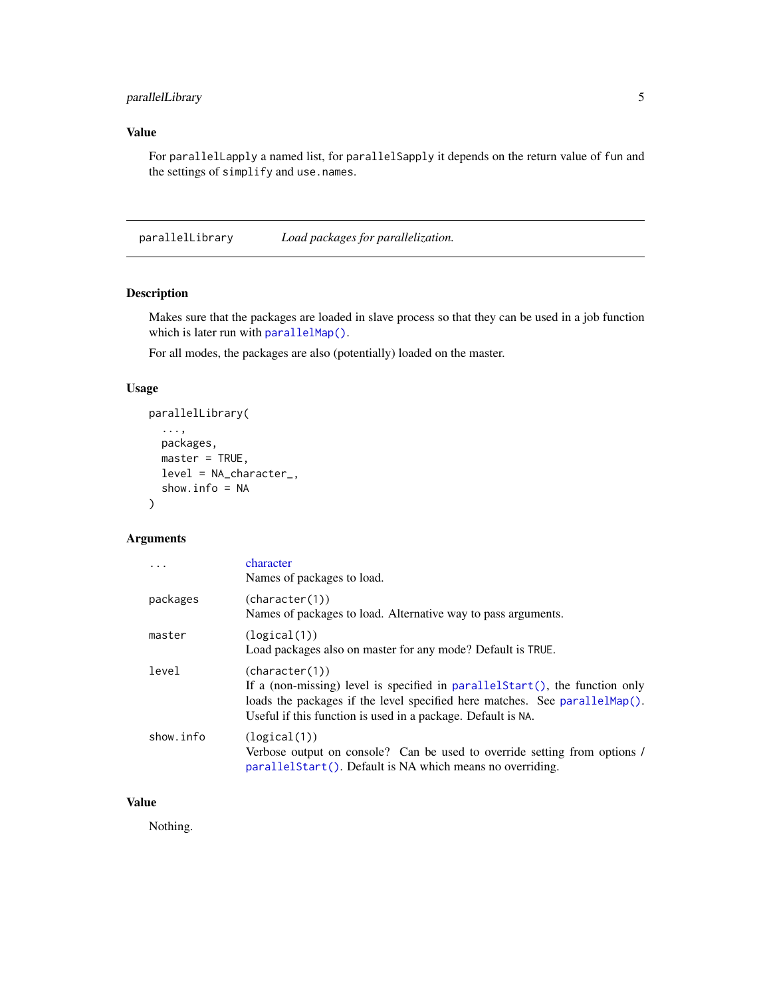#### <span id="page-4-0"></span>parallelLibrary 5

#### Value

For parallelLapply a named list, for parallelSapply it depends on the return value of fun and the settings of simplify and use.names.

<span id="page-4-1"></span>parallelLibrary *Load packages for parallelization.*

#### Description

Makes sure that the packages are loaded in slave process so that they can be used in a job function which is later run with [parallelMap\(\)](#page-5-1).

For all modes, the packages are also (potentially) loaded on the master.

#### Usage

```
parallelLibrary(
  ...,
  packages,
  master = TRUE,
  level = NA_character_,
  show.info = NA
\mathcal{L}
```
#### Arguments

|           | character<br>Names of packages to load.                                                                                                                                                                                                             |
|-----------|-----------------------------------------------------------------------------------------------------------------------------------------------------------------------------------------------------------------------------------------------------|
| packages  | (character(1))<br>Names of packages to load. Alternative way to pass arguments.                                                                                                                                                                     |
| master    | (logical(1))<br>Load packages also on master for any mode? Default is TRUE.                                                                                                                                                                         |
| level     | (character(1))<br>If a (non-missing) level is specified in parallel $Start()$ , the function only<br>loads the packages if the level specified here matches. See parallel $Map()$ .<br>Useful if this function is used in a package. Default is NA. |
| show.info | (logical(1))<br>Verbose output on console? Can be used to override setting from options /<br>parallel Start(). Default is NA which means no overriding.                                                                                             |

#### Value

Nothing.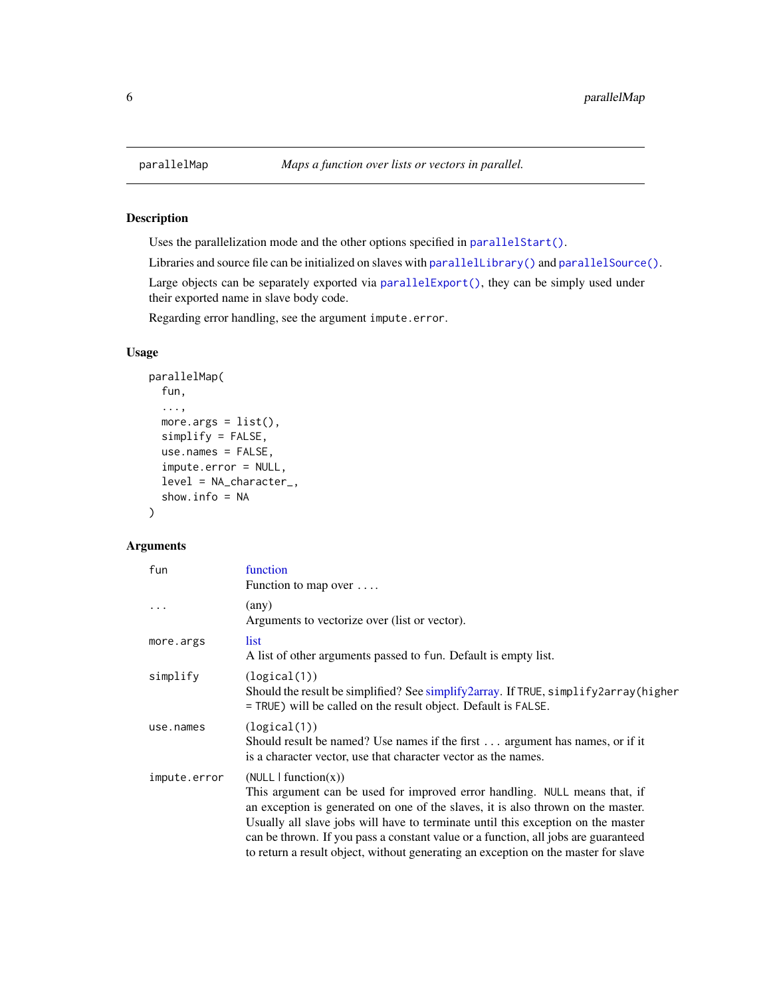#### Description

Uses the parallelization mode and the other options specified in [parallelStart\(\)](#page-8-1).

Libraries and source file can be initialized on slaves with [parallelLibrary\(\)](#page-4-1) and [parallelSource\(\)](#page-7-1).

Large objects can be separately exported via [parallelExport\(\)](#page-1-1), they can be simply used under their exported name in slave body code.

Regarding error handling, see the argument impute.error.

#### Usage

```
parallelMap(
  fun,
  ...,
  more.args = list(),
  simplify = FALSE,
  use.names = FALSE,
  impute.error = NULL,
  level = NA_character_,
  show.info = NA
\mathcal{L}
```

| fun          | function<br>Function to map over                                                                                                                                                                                                                                                                                                                                                                                                                       |
|--------------|--------------------------------------------------------------------------------------------------------------------------------------------------------------------------------------------------------------------------------------------------------------------------------------------------------------------------------------------------------------------------------------------------------------------------------------------------------|
| .            | (any)<br>Arguments to vectorize over (list or vector).                                                                                                                                                                                                                                                                                                                                                                                                 |
| more.args    | list<br>A list of other arguments passed to fun. Default is empty list.                                                                                                                                                                                                                                                                                                                                                                                |
| simplify     | (logical(1))<br>Should the result be simplified? See simplify2array. If TRUE, simplify2array(higher<br>= TRUE) will be called on the result object. Default is FALSE.                                                                                                                                                                                                                                                                                  |
| use.names    | (logical(1))<br>Should result be named? Use names if the first argument has names, or if it<br>is a character vector, use that character vector as the names.                                                                                                                                                                                                                                                                                          |
| impute.error | (NULL   function(x))<br>This argument can be used for improved error handling. NULL means that, if<br>an exception is generated on one of the slaves, it is also thrown on the master.<br>Usually all slave jobs will have to terminate until this exception on the master<br>can be thrown. If you pass a constant value or a function, all jobs are guaranteed<br>to return a result object, without generating an exception on the master for slave |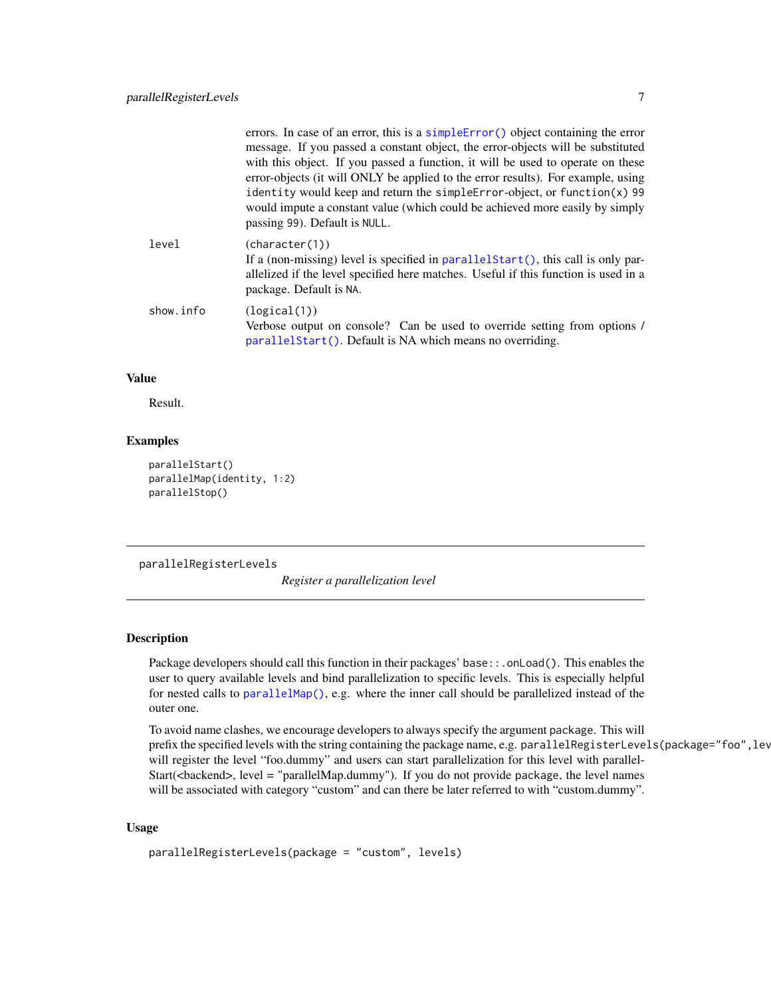<span id="page-6-0"></span>

|           | errors. In case of an error, this is a simple $Error()$ object containing the error<br>message. If you passed a constant object, the error-objects will be substituted<br>with this object. If you passed a function, it will be used to operate on these<br>error-objects (it will ONLY be applied to the error results). For example, using<br>identity would keep and return the simple Error-object, or function $(x)$ 99<br>would impute a constant value (which could be achieved more easily by simply<br>passing 99). Default is NULL. |
|-----------|------------------------------------------------------------------------------------------------------------------------------------------------------------------------------------------------------------------------------------------------------------------------------------------------------------------------------------------------------------------------------------------------------------------------------------------------------------------------------------------------------------------------------------------------|
| level     | (character(1))<br>If a (non-missing) level is specified in parallel Start(), this call is only par-<br>allelized if the level specified here matches. Useful if this function is used in a<br>package. Default is NA.                                                                                                                                                                                                                                                                                                                          |
| show.info | (logical(1))<br>Verbose output on console? Can be used to override setting from options /<br>parallelStart(). Default is NA which means no overriding.                                                                                                                                                                                                                                                                                                                                                                                         |

#### Value

Result.

#### Examples

```
parallelStart()
parallelMap(identity, 1:2)
parallelStop()
```
<span id="page-6-1"></span>parallelRegisterLevels

*Register a parallelization level*

#### **Description**

Package developers should call this function in their packages' base::.onLoad(). This enables the user to query available levels and bind parallelization to specific levels. This is especially helpful for nested calls to [parallelMap\(\)](#page-5-1), e.g. where the inner call should be parallelized instead of the outer one.

To avoid name clashes, we encourage developers to always specify the argument package. This will prefix the specified levels with the string containing the package name, e.g. parallelRegisterLevels(package="foo", lev will register the level "foo.dummy" and users can start parallelization for this level with parallel-Start(<backend>, level = "parallelMap.dummy"). If you do not provide package, the level names will be associated with category "custom" and can there be later referred to with "custom.dummy".

#### Usage

```
parallelRegisterLevels(package = "custom", levels)
```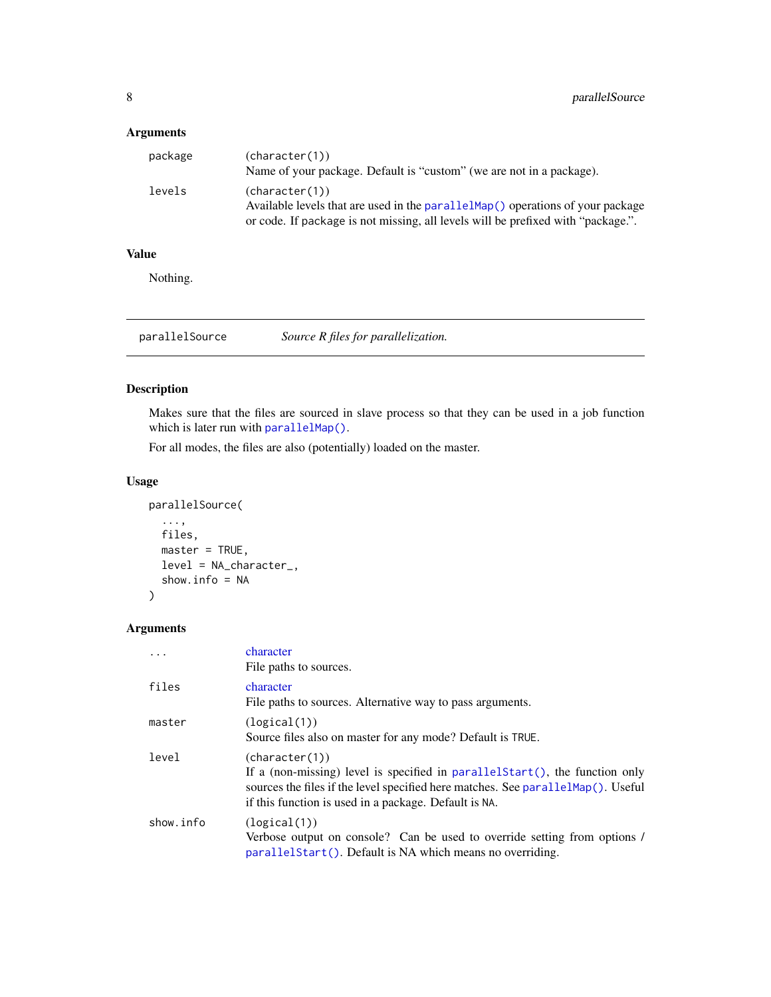#### <span id="page-7-0"></span>Arguments

| package | (character(1))<br>Name of your package. Default is "custom" (we are not in a package).            |
|---------|---------------------------------------------------------------------------------------------------|
| levels  | (character(1))<br>Available levels that are used in the parallel Map() operations of your package |
|         | or code. If package is not missing, all levels will be prefixed with "package.".                  |

#### Value

Nothing.

<span id="page-7-1"></span>parallelSource *Source R files for parallelization.*

#### Description

Makes sure that the files are sourced in slave process so that they can be used in a job function which is later run with [parallelMap\(\)](#page-5-1).

For all modes, the files are also (potentially) loaded on the master.

#### Usage

```
parallelSource(
  ...,
 files,
 master = TRUE,
 level = NA_character_,
  show.info = NA
)
```

|           | character<br>File paths to sources.                                                                                                                                                                                                             |
|-----------|-------------------------------------------------------------------------------------------------------------------------------------------------------------------------------------------------------------------------------------------------|
| files     | character<br>File paths to sources. Alternative way to pass arguments.                                                                                                                                                                          |
| master    | (logical(1))<br>Source files also on master for any mode? Default is TRUE.                                                                                                                                                                      |
| level     | (character(1))<br>If a (non-missing) level is specified in parallel $Start()$ , the function only<br>sources the files if the level specified here matches. See parallel Map(). Useful<br>if this function is used in a package. Default is NA. |
| show.info | (logical(1))<br>Verbose output on console? Can be used to override setting from options /<br>parallel Start(). Default is NA which means no overriding.                                                                                         |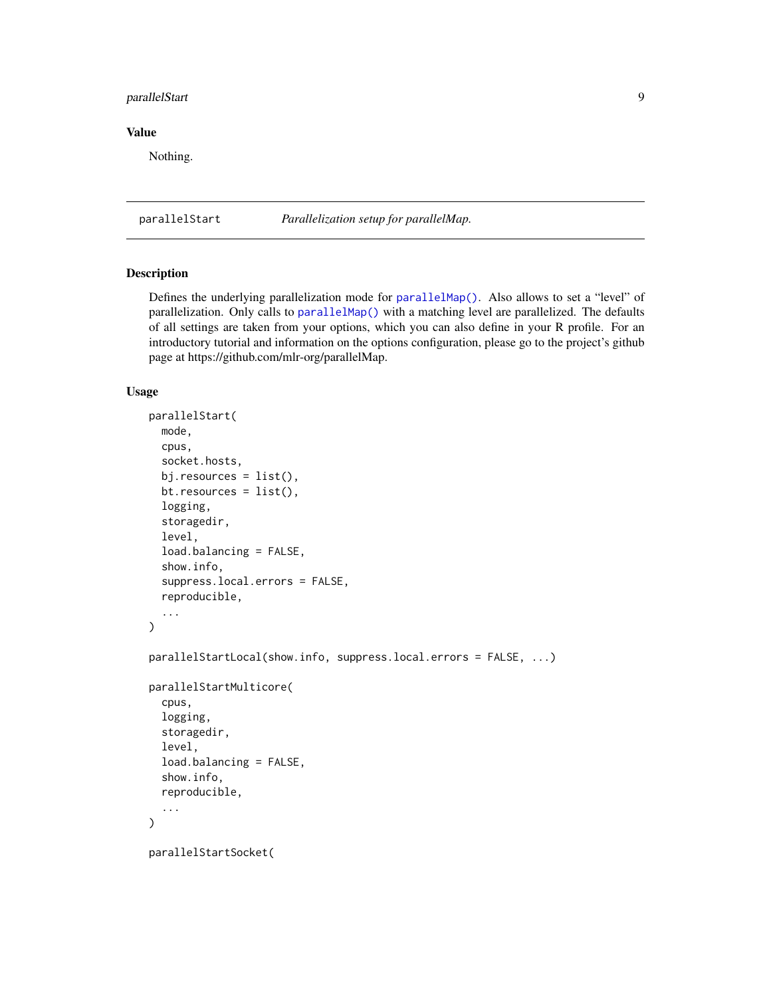#### <span id="page-8-0"></span>parallelStart 9

#### Value

Nothing.

<span id="page-8-1"></span>parallelStart *Parallelization setup for parallelMap.*

#### Description

Defines the underlying parallelization mode for [parallelMap\(\)](#page-5-1). Also allows to set a "level" of parallelization. Only calls to [parallelMap\(\)](#page-5-1) with a matching level are parallelized. The defaults of all settings are taken from your options, which you can also define in your R profile. For an introductory tutorial and information on the options configuration, please go to the project's github page at https://github.com/mlr-org/parallelMap.

#### Usage

```
parallelStart(
  mode,
  cpus,
  socket.hosts,
  bj.resources = list(),
  bt.resources = list(),
  logging,
  storagedir,
  level,
  load.balancing = FALSE,
  show.info,
  suppress.local.errors = FALSE,
  reproducible,
  ...
)
parallelStartLocal(show.info, suppress.local.errors = FALSE, ...)
parallelStartMulticore(
  cpus,
  logging,
  storagedir,
  level,
  load.balancing = FALSE,
  show.info,
  reproducible,
  ...
)
parallelStartSocket(
```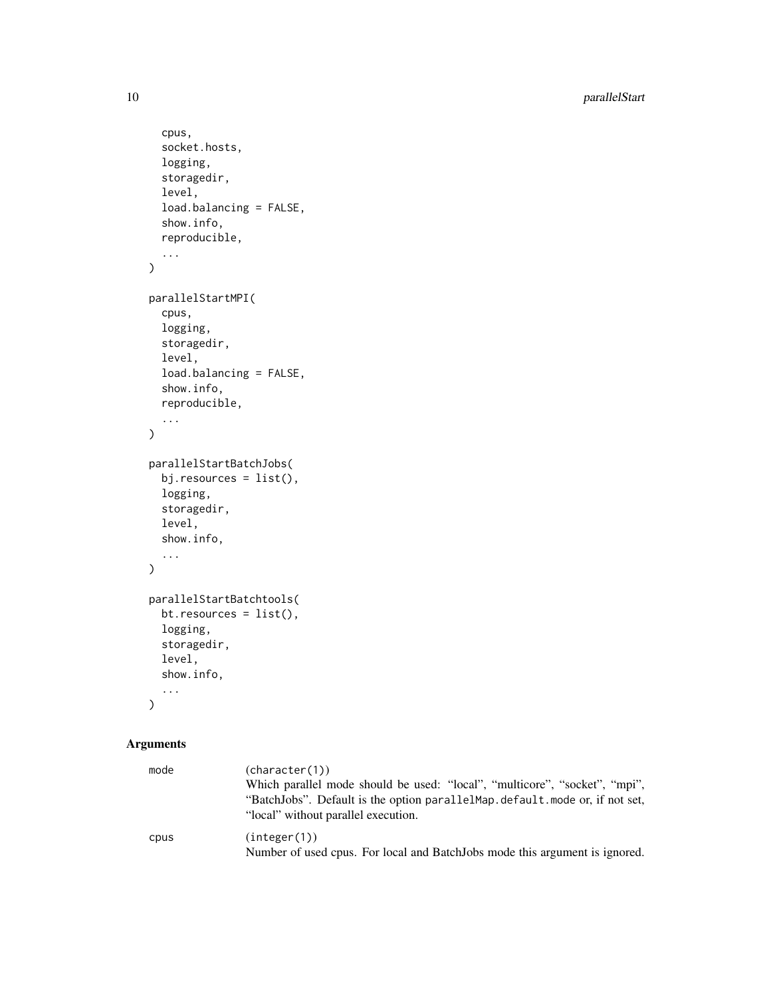10 parallelStart

```
cpus,
  socket.hosts,
  logging,
  storagedir,
  level,
  load.balancing = FALSE,
  show.info,
  reproducible,
  ...
\mathcal{L}parallelStartMPI(
  cpus,
  logging,
  storagedir,
  level,
  load.balancing = FALSE,
  show.info,
  reproducible,
  ...
\mathcal{L}parallelStartBatchJobs(
  bj.resources = list(),
  logging,
  storagedir,
  level,
  show.info,
  ...
\mathcal{L}parallelStartBatchtools(
  bt.resources = list(),
  logging,
  storagedir,
  level,
  show.info,
  ...
)
```

| mode | (character(1))<br>Which parallel mode should be used: "local", "multicore", "socket", "mpi",<br>"BatchJobs". Default is the option parallelMap.default.mode or, if not set,<br>"local" without parallel execution. |
|------|--------------------------------------------------------------------------------------------------------------------------------------------------------------------------------------------------------------------|
| cpus | (integer(1))<br>Number of used cpus. For local and BatchJobs mode this argument is ignored.                                                                                                                        |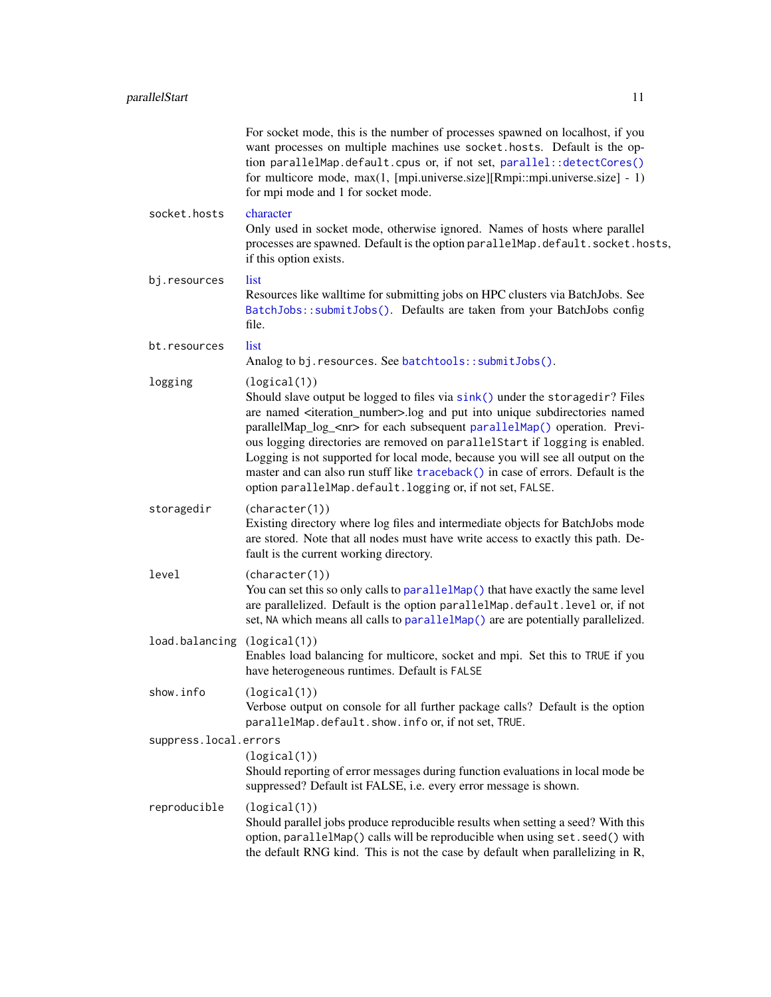<span id="page-10-0"></span>

|                             | For socket mode, this is the number of processes spawned on localhost, if you<br>want processes on multiple machines use socket. hosts. Default is the op-<br>tion parallelMap.default.cpus or, if not set, parallel::detectCores()<br>for multicore mode, max(1, [mpi.universe.size][Rmpi::mpi.universe.size] - 1)<br>for mpi mode and 1 for socket mode.                                                                                                                                                                                                                                             |
|-----------------------------|--------------------------------------------------------------------------------------------------------------------------------------------------------------------------------------------------------------------------------------------------------------------------------------------------------------------------------------------------------------------------------------------------------------------------------------------------------------------------------------------------------------------------------------------------------------------------------------------------------|
| socket.hosts                | character<br>Only used in socket mode, otherwise ignored. Names of hosts where parallel<br>processes are spawned. Default is the option parallelMap.default.socket.hosts,<br>if this option exists.                                                                                                                                                                                                                                                                                                                                                                                                    |
| bj.resources                | list.<br>Resources like walltime for submitting jobs on HPC clusters via BatchJobs. See<br>BatchJobs::submitJobs(). Defaults are taken from your BatchJobs config<br>file.                                                                                                                                                                                                                                                                                                                                                                                                                             |
| bt.resources                | list<br>Analog to bj. resources. See batchtools:: submitJobs().                                                                                                                                                                                                                                                                                                                                                                                                                                                                                                                                        |
| logging                     | (logical(1))<br>Should slave output be logged to files via sink() under the storagedir? Files<br>are named <iteration_number>.log and put into unique subdirectories named<br/>parallelMap_log_<nr> for each subsequent parallelMap() operation. Previ-<br/>ous logging directories are removed on parallelStart if logging is enabled.<br/>Logging is not supported for local mode, because you will see all output on the<br/>master and can also run stuff like traceback() in case of errors. Default is the<br/>option parallelMap.default.logging or, if not set, FALSE.</nr></iteration_number> |
| storagedir                  | (character(1))<br>Existing directory where log files and intermediate objects for BatchJobs mode<br>are stored. Note that all nodes must have write access to exactly this path. De-<br>fault is the current working directory.                                                                                                                                                                                                                                                                                                                                                                        |
| level                       | (character(1))<br>You can set this so only calls to parallel Map() that have exactly the same level<br>are parallelized. Default is the option parallelMap.default.level or, if not<br>set, NA which means all calls to parallelMap() are are potentially parallelized.                                                                                                                                                                                                                                                                                                                                |
| load.balancing (logical(1)) | Enables load balancing for multicore, socket and mpi. Set this to TRUE if you<br>have heterogeneous runtimes. Default is FALSE                                                                                                                                                                                                                                                                                                                                                                                                                                                                         |
| show.info                   | (logical(1))<br>Verbose output on console for all further package calls? Default is the option<br>parallelMap.default.show.info or, if not set, TRUE.                                                                                                                                                                                                                                                                                                                                                                                                                                                  |
| suppress.local.errors       |                                                                                                                                                                                                                                                                                                                                                                                                                                                                                                                                                                                                        |
|                             | (logical(1))<br>Should reporting of error messages during function evaluations in local mode be<br>suppressed? Default ist FALSE, i.e. every error message is shown.                                                                                                                                                                                                                                                                                                                                                                                                                                   |
| reproducible                | (logical(1))<br>Should parallel jobs produce reproducible results when setting a seed? With this<br>option, parallelMap() calls will be reproducible when using set. seed() with<br>the default RNG kind. This is not the case by default when parallelizing in R,                                                                                                                                                                                                                                                                                                                                     |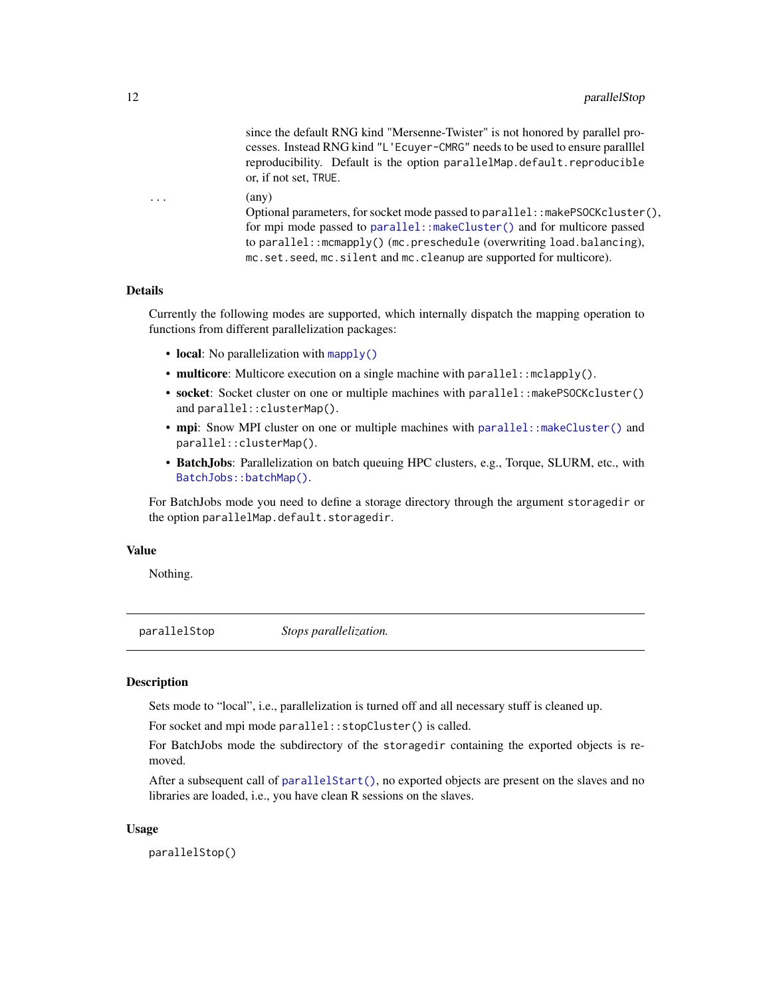<span id="page-11-0"></span>since the default RNG kind "Mersenne-Twister" is not honored by parallel processes. Instead RNG kind "L'Ecuyer-CMRG" needs to be used to ensure paralllel reproducibility. Default is the option parallelMap.default.reproducible or, if not set, TRUE.

```
(\text{any})
```
Optional parameters, for socket mode passed to parallel::makePSOCKcluster(), for mpi mode passed to [parallel::makeCluster\(\)](#page-0-0) and for multicore passed to parallel::mcmapply() (mc.preschedule (overwriting load.balancing), mc.set.seed, mc.silent and mc.cleanup are supported for multicore).

#### Details

Currently the following modes are supported, which internally dispatch the mapping operation to functions from different parallelization packages:

- local: No parallelization with [mapply\(\)](#page-0-0)
- multicore: Multicore execution on a single machine with parallel::mclapply().
- socket: Socket cluster on one or multiple machines with parallel::makePSOCKcluster() and parallel::clusterMap().
- mpi: Snow MPI cluster on one or multiple machines with [parallel::makeCluster\(\)](#page-0-0) and parallel::clusterMap().
- BatchJobs: Parallelization on batch queuing HPC clusters, e.g., Torque, SLURM, etc., with [BatchJobs::batchMap\(\)](#page-0-0).

For BatchJobs mode you need to define a storage directory through the argument storagedir or the option parallelMap.default.storagedir.

#### Value

Nothing.

parallelStop *Stops parallelization.*

#### **Description**

Sets mode to "local", i.e., parallelization is turned off and all necessary stuff is cleaned up.

For socket and mpi mode parallel::stopCluster() is called.

For BatchJobs mode the subdirectory of the storagedir containing the exported objects is removed.

After a subsequent call of [parallelStart\(\)](#page-8-1), no exported objects are present on the slaves and no libraries are loaded, i.e., you have clean R sessions on the slaves.

#### Usage

parallelStop()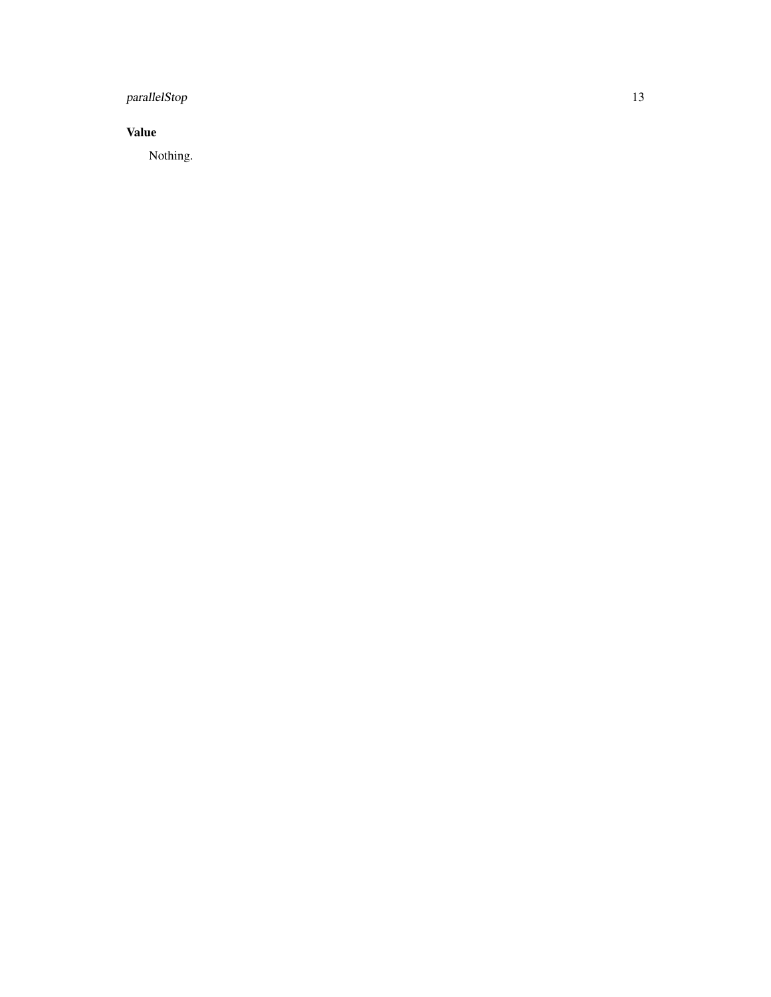### parallelStop 13

#### Value

Nothing.